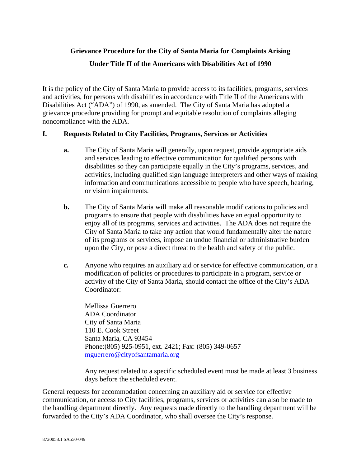# **Grievance Procedure for the City of Santa Maria for Complaints Arising Under Title II of the Americans with Disabilities Act of 1990**

It is the policy of the City of Santa Maria to provide access to its facilities, programs, services and activities, for persons with disabilities in accordance with Title II of the Americans with Disabilities Act ("ADA") of 1990, as amended. The City of Santa Maria has adopted a grievance procedure providing for prompt and equitable resolution of complaints alleging noncompliance with the ADA.

### **I. Requests Related to City Facilities, Programs, Services or Activities**

- **a.** The City of Santa Maria will generally, upon request, provide appropriate aids and services leading to effective communication for qualified persons with disabilities so they can participate equally in the City's programs, services, and activities, including qualified sign language interpreters and other ways of making information and communications accessible to people who have speech, hearing, or vision impairments.
- **b.** The City of Santa Maria will make all reasonable modifications to policies and programs to ensure that people with disabilities have an equal opportunity to enjoy all of its programs, services and activities. The ADA does not require the City of Santa Maria to take any action that would fundamentally alter the nature of its programs or services, impose an undue financial or administrative burden upon the City, or pose a direct threat to the health and safety of the public.
- **c.** Anyone who requires an auxiliary aid or service for effective communication, or a modification of policies or procedures to participate in a program, service or activity of the City of Santa Maria, should contact the office of the City's ADA Coordinator:

Mellissa Guerrero ADA Coordinator City of Santa Maria 110 E. Cook Street Santa Maria, CA 93454 Phone:(805) 925-0951, ext. 2421; Fax: (805) 349-0657 mguerrero@cityofsantamaria.org

Any request related to a specific scheduled event must be made at least 3 business days before the scheduled event.

General requests for accommodation concerning an auxiliary aid or service for effective communication, or access to City facilities, programs, services or activities can also be made to the handling department directly. Any requests made directly to the handling department will be forwarded to the City's ADA Coordinator, who shall oversee the City's response.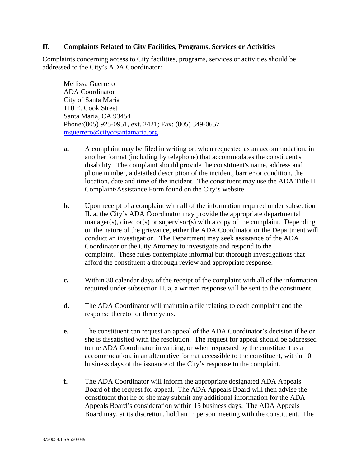#### **II. Complaints Related to City Facilities, Programs, Services or Activities**

Complaints concerning access to City facilities, programs, services or activities should be addressed to the City's ADA Coordinator:

Mellissa Guerrero ADA Coordinator City of Santa Maria 110 E. Cook Street Santa Maria, CA 93454 Phone:(805) 925-0951, ext. 2421; Fax: (805) 349-0657 mguerrero@cityofsantamaria.org

- **a.** A complaint may be filed in writing or, when requested as an accommodation, in another format (including by telephone) that accommodates the constituent's disability. The complaint should provide the constituent's name, address and phone number, a detailed description of the incident, barrier or condition, the location, date and time of the incident. The constituent may use the ADA Title II Complaint/Assistance Form found on the City's website.
- **b.** Upon receipt of a complaint with all of the information required under subsection II. a, the City's ADA Coordinator may provide the appropriate departmental manager(s), director(s) or supervisor(s) with a copy of the complaint. Depending on the nature of the grievance, either the ADA Coordinator or the Department will conduct an investigation. The Department may seek assistance of the ADA Coordinator or the City Attorney to investigate and respond to the complaint. These rules contemplate informal but thorough investigations that afford the constituent a thorough review and appropriate response.
- **c.** Within 30 calendar days of the receipt of the complaint with all of the information required under subsection II. a, a written response will be sent to the constituent.
- **d.** The ADA Coordinator will maintain a file relating to each complaint and the response thereto for three years.
- **e.** The constituent can request an appeal of the ADA Coordinator's decision if he or she is dissatisfied with the resolution. The request for appeal should be addressed to the ADA Coordinator in writing, or when requested by the constituent as an accommodation, in an alternative format accessible to the constituent, within 10 business days of the issuance of the City's response to the complaint.
- **f.** The ADA Coordinator will inform the appropriate designated ADA Appeals Board of the request for appeal. The ADA Appeals Board will then advise the constituent that he or she may submit any additional information for the ADA Appeals Board's consideration within 15 business days. The ADA Appeals Board may, at its discretion, hold an in person meeting with the constituent. The